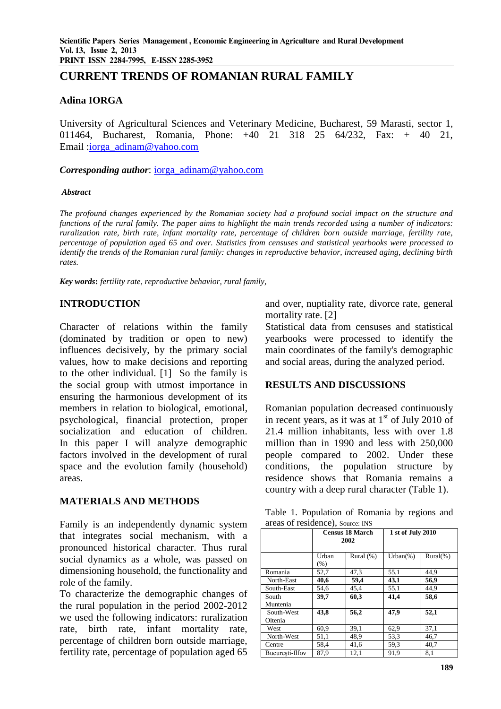# **CURRENT TRENDS OF ROMANIAN RURAL FAMILY**

### **Adina IORGA**

University of Agricultural Sciences and Veterinary Medicine, Bucharest, 59 Marasti, sector 1, 011464, Bucharest, Romania, Phone: +40 21 318 25 64/232, Fax: + 40 21, Email: iorga\_adinam@yahoo.com

*Corresponding author*: [iorga\\_adinam@yahoo.com](mailto:iorga_adinam@yahoo.com)

#### *Abstract*

*The profound changes experienced by the Romanian society had a profound social impact on the structure and functions of the rural family. The paper aims to highlight the main trends recorded using a number of indicators: ruralization rate, birth rate, infant mortality rate, percentage of children born outside marriage, fertility rate, percentage of population aged 65 and over. Statistics from censuses and statistical yearbooks were processed to identify the trends of the Romanian rural family: changes in reproductive behavior, increased aging, declining birth rates.*

*Key words***:** *fertility rate, reproductive behavior, rural family,*

### **INTRODUCTION**

Character of relations within the family (dominated by tradition or open to new) influences decisively, by the primary social values, how to make decisions and reporting to the other individual. [1] So the family is the social group with utmost importance in ensuring the harmonious development of its members in relation to biological, emotional, psychological, financial protection, proper socialization and education of children. In this paper I will analyze demographic factors involved in the development of rural space and the evolution family (household) areas.

### **MATERIALS AND METHODS**

Family is an independently dynamic system that integrates social mechanism, with a pronounced historical character. Thus rural social dynamics as a whole, was passed on dimensioning household, the functionality and role of the family.

To characterize the demographic changes of the rural population in the period 2002-2012 we used the following indicators: ruralization rate, birth rate, infant mortality rate, percentage of children born outside marriage, fertility rate, percentage of population aged 65 and over, nuptiality rate, divorce rate, general mortality rate. [2]

Statistical data from censuses and statistical yearbooks were processed to identify the main coordinates of the family's demographic and social areas, during the analyzed period.

### **RESULTS AND DISCUSSIONS**

Romanian population decreased continuously in recent years, as it was at  $1<sup>st</sup>$  of July 2010 of 21.4 million inhabitants, less with over 1.8 million than in 1990 and less with 250,000 people compared to 2002. Under these conditions, the population structure by residence shows that Romania remains a country with a deep rural character (Table 1).

Table 1. Population of Romania by regions and areas of residence), Source: INS

|                       |                  | <b>Census 18 March</b><br>2002 | 1 st of July 2010 |              |
|-----------------------|------------------|--------------------------------|-------------------|--------------|
|                       | Urban<br>$(\% )$ | Rural $(\%)$                   | $Urban(\%)$       | $Rural(\% )$ |
| Romania               | 52,7             | 47,3                           | 55,1              | 44.9         |
| North-East            | 40,6             | 59,4                           | 43,1              | 56,9         |
| South-East            | 54.6             | 45.4                           | 55,1              | 44.9         |
| South<br>Muntenia     | 39,7             | 60,3                           | 41.4              | 58,6         |
| South-West<br>Oltenia | 43,8             | 56,2                           | 47.9              | 52,1         |
| West                  | 60.9             | 39,1                           | 62,9              | 37,1         |
| North-West            | 51,1             | 48.9                           | 53,3              | 46,7         |
| Centre                | 58,4             | 41,6                           | 59,3              | 40,7         |
| Bucuresti-Ilfov       | 87.9             | 12.1                           | 91,9              | 8.1          |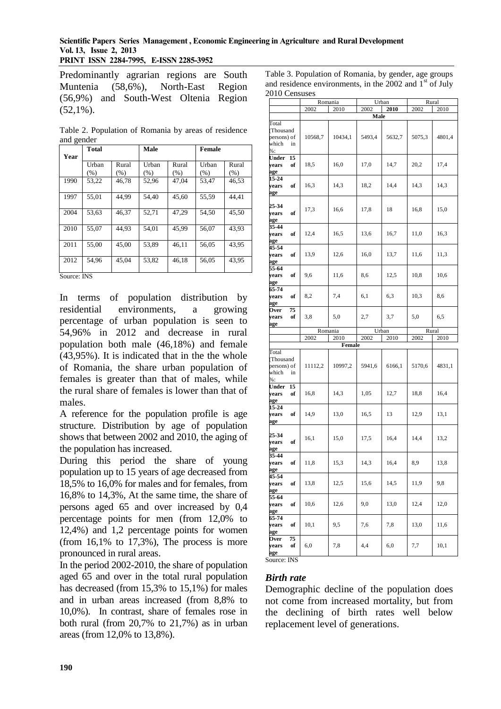#### **Scientific Papers Series Management , Economic Engineering in Agriculture and Rural Development Vol. 13, Issue 2, 2013 PRINT ISSN 2284-7995, E-ISSN 2285-3952**

Predominantly agrarian regions are South Muntenia (58,6%), North-East Region (56,9%) and South-West Oltenia Region  $(52.1\%)$ .

Table 2. Population of Romania by areas of residence and gender

| ັ<br>Year      | <b>Total</b>  |               | <b>Male</b>      |               | Female        |               |
|----------------|---------------|---------------|------------------|---------------|---------------|---------------|
|                | Urban<br>(% ) | Rural<br>(% ) | Urban<br>$(\% )$ | Rural<br>(% ) | Urban<br>(% ) | Rural<br>(% ) |
| 1990           | 53,22         | 46.78         | 52,96            | 47.04         | 53,47         | 46,53         |
| 1997           | 55,01         | 44.99         | 54.40            | 45,60         | 55,59         | 44.41         |
| 2004           | 53,63         | 46.37         | 52,71            | 47.29         | 54,50         | 45,50         |
| 2010           | 55,07         | 44.93         | 54.01            | 45.99         | 56.07         | 43.93         |
| 2011           | 55.00         | 45.00         | 53.89            | 46.11         | 56.05         | 43.95         |
| 2012<br>$\sim$ | 54,96         | 45.04         | 53,82            | 46.18         | 56.05         | 43.95         |

Source: INS

In terms of population distribution by residential environments, a growing percentage of urban population is seen to 54,96% in 2012 and decrease in rural population both male (46,18%) and female (43,95%). It is indicated that in the the whole of Romania, the share urban population of females is greater than that of males, while the rural share of females is lower than that of males.

A reference for the population profile is age structure. Distribution by age of population shows that between 2002 and 2010, the aging of the population has increased.

During this period the share of young population up to 15 years of age decreased from 18,5% to 16,0% for males and for females, from 16,8% to 14,3%, At the same time, the share of persons aged 65 and over increased by 0,4 percentage points for men (from 12,0% to 12,4%) and 1,2 percentage points for women (from  $16,1\%$  to  $17,3\%$ ), The process is more pronounced in rural areas.

In the period 2002-2010, the share of population aged 65 and over in the total rural population has decreased (from 15,3% to 15,1%) for males and in urban areas increased (from 8,8% to 10,0%). In contrast, share of females rose in both rural (from 20,7% to 21,7%) as in urban areas (from 12,0% to 13,8%).

Table 3. Population of Romania, by gender, age groups and residence environments, in the 2002 and  $1<sup>st</sup>$  of July 2010 Censuses

| Romania |         |                 |                | Rural                  |               |
|---------|---------|-----------------|----------------|------------------------|---------------|
| 2002    | 2010    | 2002            | 2010           | 2002                   | 2010          |
|         |         |                 |                |                        |               |
| 10568,7 | 10434,1 | 5493,4          | 5632,7         | 5075,3                 | 4801,4        |
| 18,5    | 16,0    | 17,0            | 14,7           | 20,2                   | 17,4          |
| 16,3    | 14,3    | 18,2            | 14,4           | 14,3                   | 14,3          |
| 17,3    | 16,6    | 17,8            | 18             | 16,8                   | 15,0          |
| 12,4    | 16,5    | 13,6            | 16,7           | 11,0                   | 16,3          |
| 13,9    | 12,6    | 16,0            | 13,7           | 11,6                   | 11,3          |
| 9,6     | 11,6    | 8,6             | 12,5           | 10,8                   | 10,6          |
| 8,2     | 7,4     | 6,1             | 6,3            | 10,3                   | 8,6           |
| 3,8     | 5,0     | 2,7             | 3,7            | 5,0                    | 6,5           |
|         |         |                 |                |                        |               |
|         |         |                 | 2010           |                        | 2010          |
|         |         |                 |                |                        |               |
| 11112,2 | 10997,2 | 5941,6          | 6166,1         | 5170,6                 | 4831,1        |
| 16,8    | 14,3    | 1,05            | 12,7           | 18,8                   | 16,4          |
| 14,9    | 13,0    | 16,5            | 13             | 12,9                   | 13,1          |
| 16,1    | 15,0    | 17,5            | 16,4           | 14,4                   | 13,2          |
| 11,8    | 15,3    | 14,3            | 16,4           | 8,9                    | 13,8          |
| 13,8    | 12,5    | 15,6            | 14,5           | 11,9                   | 9,8           |
|         |         |                 |                |                        |               |
| 10,6    | 12,6    | 9,0             | 13,0           | 12,4                   | 12,0          |
| 10,1    | 9,5     | 7,6             | 7,8            | 13,0                   | 11,6          |
|         | 2002    | Romania<br>2010 | 2002<br>Female | Urban<br>Male<br>Urban | Rural<br>2002 |

### *Birth rate*

Demographic decline of the population does not come from increased mortality, but from the declining of birth rates well below replacement level of generations.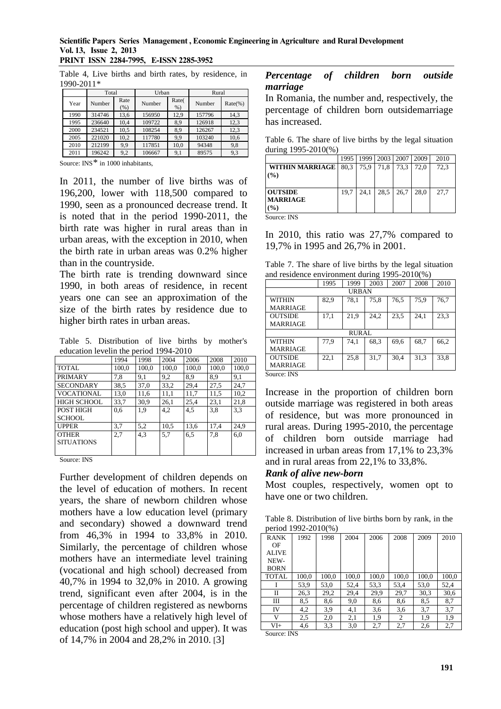# **Scientific Papers Series Management , Economic Engineering in Agriculture and Rural Development Vol. 13, Issue 2, 2013**

**PRINT ISSN 2284-7995, E-ISSN 2285-3952** 

Table 4, Live births and birth rates, by residence, in 1990-2011*\**

|      | Total  |             | Urban  |                            | Rural  |            |  |
|------|--------|-------------|--------|----------------------------|--------|------------|--|
| Year | Number | Rate<br>(%) | Number | Rate <sub>(</sub><br>$%$ ) | Number | $Rate(\%)$ |  |
| 1990 | 314746 | 13,6        | 156950 | 12,9                       | 157796 | 14,3       |  |
| 1995 | 236640 | 10.4        | 109722 | 8.9                        | 126918 | 12.3       |  |
| 2000 | 234521 | 10,5        | 108254 | 8,9                        | 126267 | 12.3       |  |
| 2005 | 221020 | 10.2        | 117780 | 9.9                        | 103240 | 10,6       |  |
| 2010 | 212199 | 9,9         | 117851 | 10,0                       | 94348  | 9,8        |  |
| 2011 | 196242 | 9,2         | 106667 | 9.1                        | 89575  | 9,3        |  |

Source: INS*\** in 1000 inhabitants,

In 2011, the number of live births was of 196,200, lower with 118,500 compared to 1990, seen as a pronounced decrease trend. It is noted that in the period 1990-2011, the birth rate was higher in rural areas than in urban areas, with the exception in 2010, when the birth rate in urban areas was 0.2% higher than in the countryside.

The birth rate is trending downward since 1990, in both areas of residence, in recent years one can see an approximation of the size of the birth rates by residence due to higher birth rates in urban areas.

Table 5. Distribution of live births by mother's education levelin the period 1994-2010

|                    | 1994  | 1998  | 2004  | 2006  | 2008  | 2010  |
|--------------------|-------|-------|-------|-------|-------|-------|
| <b>TOTAL</b>       | 100,0 | 100,0 | 100,0 | 100,0 | 100,0 | 100,0 |
| PRIMARY            | 7,8   | 9,1   | 9,2   | 8.9   | 8.9   | 9,1   |
| <b>SECONDARY</b>   | 38,5  | 37,0  | 33,2  | 29,4  | 27,5  | 24,7  |
| VOCATIONAL         | 13,0  | 11,6  | 11,1  | 11,7  | 11,5  | 10,2  |
| <b>HIGH SCHOOL</b> | 33,7  | 30.9  | 26,1  | 25.4  | 23,1  | 21,8  |
| POST HIGH          | 0,6   | 1,9   | 4,2   | 4,5   | 3,8   | 3.3   |
| <b>SCHOOL</b>      |       |       |       |       |       |       |
| <b>UPPER</b>       | 3,7   | 5,2   | 10,5  | 13,6  | 17,4  | 24,9  |
| <b>OTHER</b>       | 2.7   | 4,3   | 5.7   | 6,5   | 7,8   | 6,0   |
| <b>SITUATIONS</b>  |       |       |       |       |       |       |
|                    |       |       |       |       |       |       |

Source: INS

Further development of children depends on the level of education of mothers. In recent years, the share of newborn children whose mothers have a low education level (primary and secondary) showed a downward trend from 46,3% in 1994 to 33,8% in 2010. Similarly, the percentage of children whose mothers have an intermediate level training (vocational and high school) decreased from 40,7% in 1994 to 32,0% in 2010. A growing trend, significant even after 2004, is in the percentage of children registered as newborns whose mothers have a relatively high level of education (post high school and upper). It was of 14,7% in 2004 and 28,2% in 2010. [3]

#### *Percentage of children born outside marriage*

In Romania, the number and, respectively, the percentage of children born outsidemarriage has increased.

Table 6. The share of live births by the legal situation during 1995-2010(%)

|                 | 1995 | 1999 | 2003 | 2007 | 2009 | 2010 |
|-----------------|------|------|------|------|------|------|
| WITHIN MARRIAGE | 80.3 | 75.9 | 71,8 | 73.3 | 72.0 | 72,3 |
| (%)             |      |      |      |      |      |      |
|                 |      |      |      |      |      |      |
| <b>OUTSIDE</b>  | 19.7 | 24.1 | 28.5 | 26.7 | 28.0 | 27.7 |
| <b>MARRIAGE</b> |      |      |      |      |      |      |
| $($ %)          |      |      |      |      |      |      |

Source: INS

In 2010, this ratio was 27,7% compared to 19,7% in 1995 and 26,7% in 2001.

Table 7. The share of live births by the legal situation and residence environment during 1995-2010(%)

|                                | 1995 | 1999         | 2003 | 2007 | 2008 | 2010 |
|--------------------------------|------|--------------|------|------|------|------|
|                                |      | <b>URBAN</b> |      |      |      |      |
| WITHIN                         | 82,9 | 78,1         | 75,8 | 76,5 | 75,9 | 76,7 |
| <b>MARRIAGE</b>                |      |              |      |      |      |      |
| <b>OUTSIDE</b>                 | 17,1 | 21,9         | 24,2 | 23,5 | 24,1 | 23,3 |
| MARRIAGE                       |      |              |      |      |      |      |
|                                |      | <b>RURAL</b> |      |      |      |      |
| WITHIN                         | 77,9 | 74,1         | 68,3 | 69,6 | 68,7 | 66,2 |
| <b>MARRIAGE</b>                |      |              |      |      |      |      |
| <b>OUTSIDE</b>                 | 22,1 | 25,8         | 31,7 | 30,4 | 31,3 | 33,8 |
| MARRIAGE                       |      |              |      |      |      |      |
| $\sim$ $\sim$<br>$\sim$ $\sim$ |      |              |      |      |      |      |

Source: INS

Increase in the proportion of children born outside marriage was registered in both areas of residence, but was more pronounced in rural areas. During 1995-2010, the percentage of children born outside marriage had increased in urban areas from 17,1% to 23,3% and in rural areas from 22,1% to 33,8%.

#### *Rank of alive new-born*

Most couples, respectively, women opt to have one or two children.

Table 8. Distribution of live births born by rank, in the period 1992-2010(%)

| <b>RANK</b>  | 1992  | 1998  | 2004  | 2006  | 2008  | 2009  | 2010  |
|--------------|-------|-------|-------|-------|-------|-------|-------|
| OF           |       |       |       |       |       |       |       |
| <b>ALIVE</b> |       |       |       |       |       |       |       |
| NEW-         |       |       |       |       |       |       |       |
| <b>BORN</b>  |       |       |       |       |       |       |       |
| <b>TOTAL</b> | 100,0 | 100,0 | 100,0 | 100,0 | 100,0 | 100,0 | 100,0 |
|              | 53,9  | 53,0  | 52,4  | 53,3  | 53,4  | 53,0  | 52,4  |
| П            | 26.3  | 29,2  | 29,4  | 29.9  | 29,7  | 30,3  | 30,6  |
| Ш            | 8,5   | 8,6   | 9,0   | 8,6   | 8,6   | 8,5   | 8,7   |
| IV           | 4,2   | 3,9   | 4,1   | 3,6   | 3,6   | 3,7   | 3,7   |
| V            | 2,5   | 2,0   | 2,1   | 1,9   | 2     | 1,9   | 1,9   |
| $VI+$        | 4,6   | 3,3   | 3,0   | 2,7   | 2,7   | 2,6   | 2,7   |

Source: INS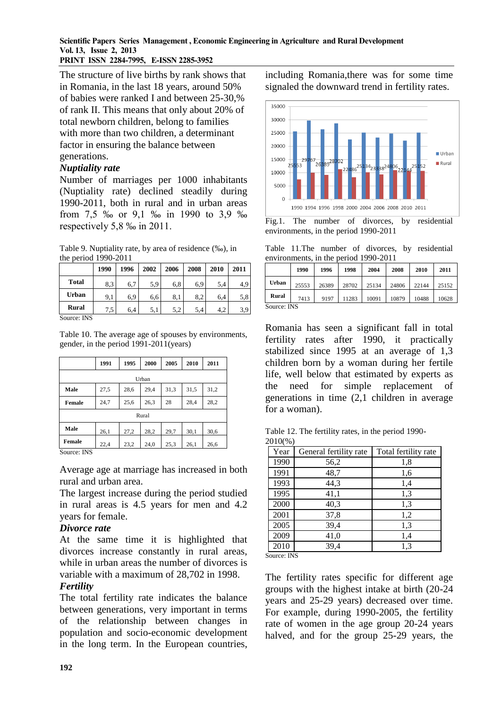**PRINT ISSN 2284-7995, E-ISSN 2285-3952** 

The structure of live births by rank shows that in Romania, in the last 18 years, around 50% of babies were ranked I and between 25-30,% of rank II. This means that only about 20% of total newborn children, belong to families with more than two children, a determinant factor in ensuring the balance between generations.

### *Nuptiality rate*

Number of marriages per 1000 inhabitants (Nuptiality rate) declined steadily during 1990-2011, both in rural and in urban areas from 7,5 ‰ or 9,1 ‰ in 1990 to 3,9 ‰ respectively 5,8 ‰ in 2011.

Table 9. Nuptiality rate, by area of residence (‰), in the period 1990-2011

|              | 1990 | 1996 | 2002 | 2006 | 2008 | 2010 | 2011 |
|--------------|------|------|------|------|------|------|------|
| <b>Total</b> | 8,3  | 6,7  | 5,9  | 6,8  | 6,9  | 5,4  | 4,9  |
| Urban        | 9,1  | 6,9  | 6,6  | 8,1  | 8,2  | 6,4  | 5,8  |
| Rural        | 7,5  | 6.4  | 5,1  | 5,2  | 5.4  | 4.2  | 3,9  |

Source: INS

Table 10. The average age of spouses by environments, gender, in the period 1991-2011(years)

|               | 1991 | 1995 | 2000  | 2005 | 2010 | 2011 |  |
|---------------|------|------|-------|------|------|------|--|
| Urban         |      |      |       |      |      |      |  |
| Male          | 27,5 | 28,6 | 29,4  | 31,3 | 31,5 | 31,2 |  |
| Female        | 24,7 | 25,6 | 26,3  | 28   | 28,4 | 28,2 |  |
|               |      |      | Rural |      |      |      |  |
| Male          | 26,1 | 27,2 | 28,2  | 29,7 | 30,1 | 30,6 |  |
| <b>Female</b> | 22,4 | 23,2 | 24,0  | 25,3 | 26,1 | 26,6 |  |

Source: INS

Average age at marriage has increased in both rural and urban area.

The largest increase during the period studied in rural areas is 4.5 years for men and 4.2 years for female.

### *Divorce rate*

At the same time it is highlighted that divorces increase constantly in rural areas, while in urban areas the number of divorces is variable with a maximum of 28,702 in 1998.

### *Fertility*

The total fertility rate indicates the balance between generations, very important in terms of the relationship between changes in population and socio-economic development in the long term. In the European countries, including Romania,there was for some time signaled the downward trend in fertility rates.



Fig.1. The number of divorces, by residential environments, in the period 1990-2011

Table 11.The number of divorces, by residential environments, in the period 1990-2011

|             | 1990  | 1996  | 1998  | 2004  | 2008  | 2010  | 2011  |
|-------------|-------|-------|-------|-------|-------|-------|-------|
| Urban       | 25553 | 26389 | 28702 | 25134 | 24806 | 22144 | 25152 |
| Rural       | 7413  | 9197  | 11283 | 10091 | 10879 | 10488 | 10628 |
| Source: INS |       |       |       |       |       |       |       |

Romania has seen a significant fall in total fertility rates after 1990, it practically stabilized since 1995 at an average of 1,3 children born by a woman during her fertile life, well below that estimated by experts as the need for simple replacement of generations in time (2,1 children in average for a woman).

Table 12. The fertility rates, in the period 1990- 2010(%)

| Year | General fertility rate | Total fertility rate |
|------|------------------------|----------------------|
| 1990 | 56,2                   | 1,8                  |
| 1991 | 48,7                   | 1,6                  |
| 1993 | 44,3                   | 1,4                  |
| 1995 | 41,1                   | 1,3                  |
| 2000 | 40,3                   | 1,3                  |
| 2001 | 37,8                   | 1,2                  |
| 2005 | 39,4                   | 1,3                  |
| 2009 | 41,0                   | 1,4                  |
| 2010 | 39,4                   | 1,3                  |

Source: INS

The fertility rates specific for different age groups with the highest intake at birth (20-24 years and 25-29 years) decreased over time. For example, during 1990-2005, the fertility rate of women in the age group 20-24 years halved, and for the group 25-29 years, the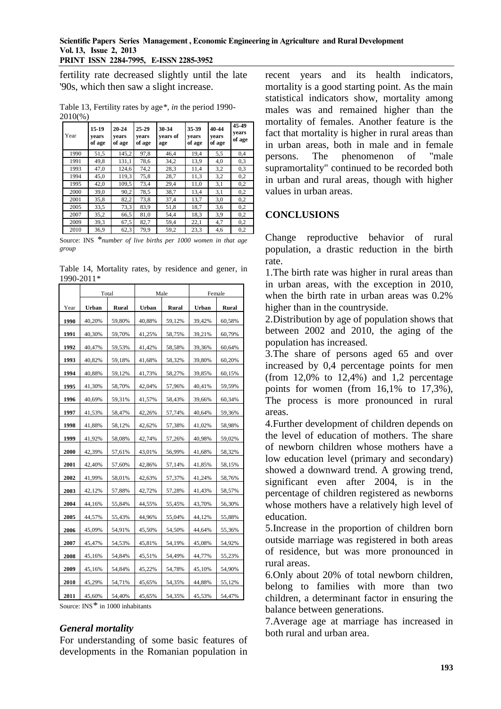fertility rate decreased slightly until the late '90s, which then saw a slight increase.

Table 13, Fertility rates by age*\*, in* the period 1990- 2010(%)

| Year | 15-19<br>vears<br>of age | $20 - 24$<br>vears<br>of age | $25-29$<br>vears<br>of age | 30-34<br>vears of<br>age | 35-39<br>vears<br>of age | 40-44<br>vears<br>of age | 45-49<br>years<br>of age |
|------|--------------------------|------------------------------|----------------------------|--------------------------|--------------------------|--------------------------|--------------------------|
| 1990 | 51,5                     | 145,2                        | 97,8                       | 46,4                     | 19,4                     | 5,5                      | 0,4                      |
| 1991 | 49,8                     | 131,1                        | 78,6                       | 34,2                     | 13,9                     | 4,0                      | 0,3                      |
| 1993 | 47,0                     | 124,6                        | 74,2                       | 28,3                     | 11,4                     | 3,2                      | 0,3                      |
| 1994 | 45,0                     | 119,3                        | 75,8                       | 28,7                     | 11,3                     | 3,2                      | 0,2                      |
| 1995 | 42,0                     | 109,5                        | 73,4                       | 29,4                     | 11,0                     | 3,1                      | 0,2                      |
| 2000 | 39,0                     | 90,2                         | 78,5                       | 38,7                     | 13,4                     | 3,1                      | 0,2                      |
| 2001 | 35,8                     | 82,2                         | 73,8                       | 37,4                     | 13,7                     | 3,0                      | 0,2                      |
| 2005 | 33,5                     | 73,3                         | 83,9                       | 51,8                     | 18,7                     | 3,6                      | 0,2                      |
| 2007 | 35,2                     | 66,5                         | 81,0                       | 54,4                     | 18,3                     | 3,9                      | 0,2                      |
| 2009 | 39,3                     | 67,5                         | 82,7                       | 59,4                     | 22,1                     | 4,7                      | 0,2                      |
| 2010 | 36,9                     | 62,3                         | 79,9                       | 59,2                     | 23,3                     | 4,6                      | 0,2                      |

Source: INS *\*number of live births per 1000 women in that age group*

Table 14, Mortality rates, by residence and gener, in 1990-2011*\**

|      | Total  |        |        | Male   | Female |        |  |
|------|--------|--------|--------|--------|--------|--------|--|
| Year | Urban  | Rural  | Urban  | Rural  | Urban  | Rural  |  |
| 1990 | 40,20% | 59,80% | 40,88% | 59,12% | 39,42% | 60,58% |  |
| 1991 | 40,30% | 59,70% | 41,25% | 58,75% | 39,21% | 60,79% |  |
| 1992 | 40,47% | 59,53% | 41,42% | 58,58% | 39,36% | 60,64% |  |
| 1993 | 40,82% | 59,18% | 41,68% | 58,32% | 39,80% | 60,20% |  |
| 1994 | 40,88% | 59,12% | 41,73% | 58,27% | 39,85% | 60,15% |  |
| 1995 | 41,30% | 58,70% | 42,04% | 57,96% | 40,41% | 59,59% |  |
| 1996 | 40,69% | 59,31% | 41,57% | 58,43% | 39,66% | 60,34% |  |
| 1997 | 41,53% | 58,47% | 42,26% | 57,74% | 40,64% | 59,36% |  |
| 1998 | 41,88% | 58,12% | 42,62% | 57,38% | 41,02% | 58,98% |  |
| 1999 | 41,92% | 58,08% | 42.74% | 57,26% | 40,98% | 59,02% |  |
| 2000 | 42,39% | 57,61% | 43,01% | 56,99% | 41,68% | 58,32% |  |
| 2001 | 42,40% | 57,60% | 42,86% | 57,14% | 41,85% | 58,15% |  |
| 2002 | 41,99% | 58,01% | 42,63% | 57,37% | 41,24% | 58,76% |  |
| 2003 | 42,12% | 57,88% | 42,72% | 57,28% | 41,43% | 58,57% |  |
| 2004 | 44,16% | 55,84% | 44,55% | 55,45% | 43,70% | 56,30% |  |
| 2005 | 44,57% | 55,43% | 44,96% | 55,04% | 44,12% | 55,88% |  |
| 2006 | 45,09% | 54,91% | 45,50% | 54,50% | 44,64% | 55,36% |  |
| 2007 | 45,47% | 54,53% | 45,81% | 54,19% | 45,08% | 54,92% |  |
| 2008 | 45,16% | 54,84% | 45,51% | 54,49% | 44,77% | 55,23% |  |
| 2009 | 45,16% | 54,84% | 45,22% | 54,78% | 45,10% | 54,90% |  |
| 2010 | 45,29% | 54,71% | 45,65% | 54,35% | 44,88% | 55,12% |  |
| 2011 | 45.60% | 54.40% | 45.65% | 54.35% | 45.53% | 54.47% |  |

Source: INS*\** in 1000 inhabitants

#### *General mortality*

For understanding of some basic features of developments in the Romanian population in recent years and its health indicators, mortality is a good starting point. As the main statistical indicators show, mortality among males was and remained higher than the mortality of females. Another feature is the fact that mortality is higher in rural areas than in urban areas, both in male and in female persons. The phenomenon of "male supramortality" continued to be recorded both in urban and rural areas, though with higher values in urban areas.

# **CONCLUSIONS**

Change reproductive behavior of rural population, a drastic reduction in the birth rate.

1.The birth rate was higher in rural areas than in urban areas, with the exception in 2010, when the birth rate in urban areas was 0.2% higher than in the countryside.

2.Distribution by age of population shows that between 2002 and 2010, the aging of the population has increased.

3.The share of persons aged 65 and over increased by 0,4 percentage points for men (from  $12,0\%$  to  $12,4\%$ ) and  $1,2$  percentage points for women (from 16,1% to 17,3%), The process is more pronounced in rural areas.

4.Further development of children depends on the level of education of mothers. The share of newborn children whose mothers have a low education level (primary and secondary) showed a downward trend. A growing trend, significant even after 2004, is in the percentage of children registered as newborns whose mothers have a relatively high level of education.

5.Increase in the proportion of children born outside marriage was registered in both areas of residence, but was more pronounced in rural areas.

6.Only about 20% of total newborn children, belong to families with more than two children, a determinant factor in ensuring the balance between generations.

7.Average age at marriage has increased in both rural and urban area.